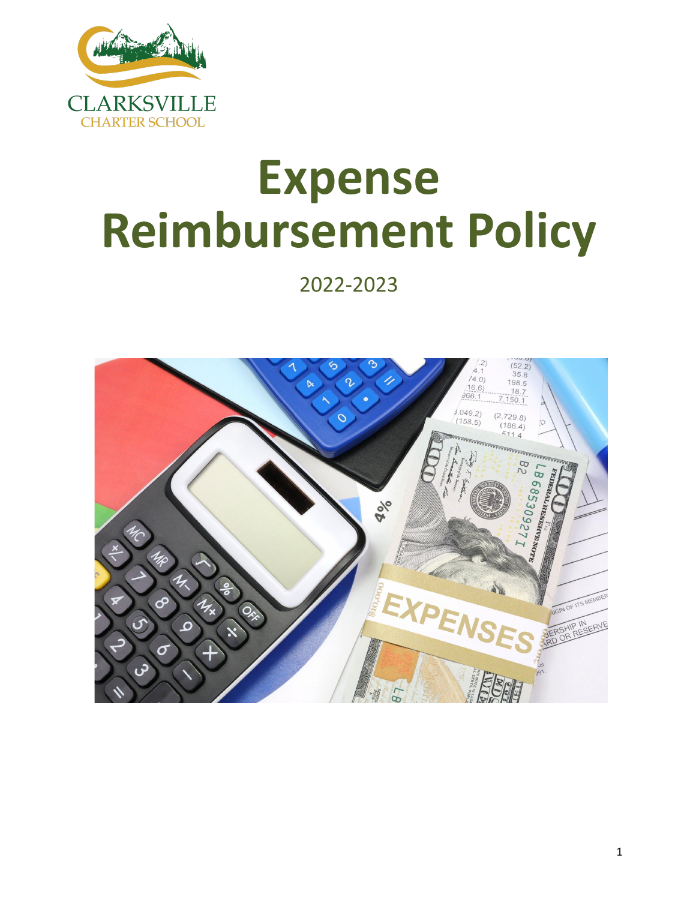

# **Expense Reimbursement Policy**

2022-2023

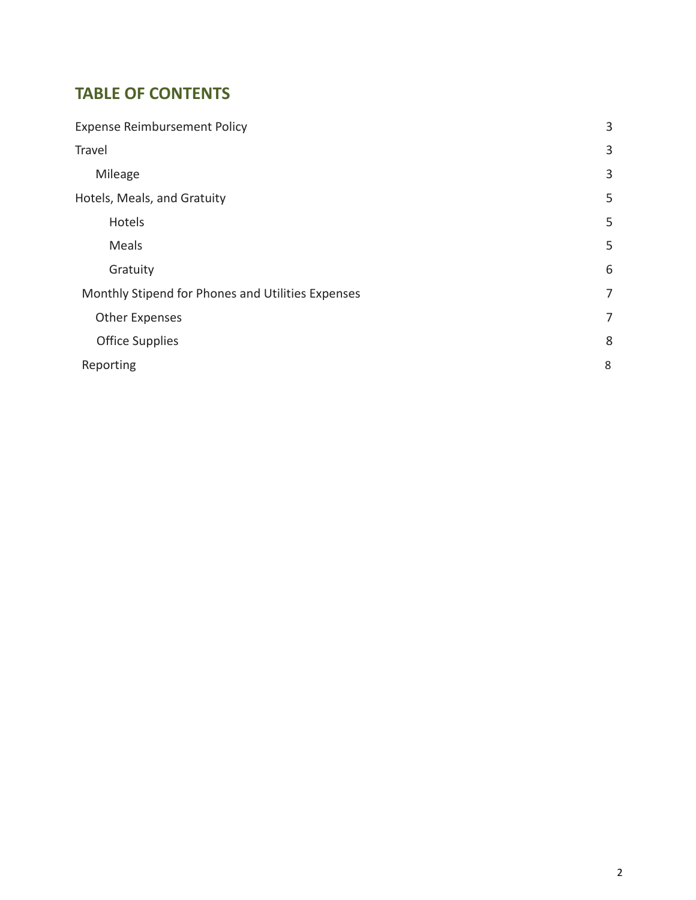# **TABLE OF CONTENTS**

| <b>Expense Reimbursement Policy</b>               | 3              |
|---------------------------------------------------|----------------|
| Travel                                            | 3              |
| Mileage                                           | 3              |
| Hotels, Meals, and Gratuity                       | 5              |
| Hotels                                            | 5              |
| Meals                                             | 5              |
| Gratuity                                          | 6              |
| Monthly Stipend for Phones and Utilities Expenses | 7              |
| <b>Other Expenses</b>                             | $\overline{7}$ |
| <b>Office Supplies</b>                            | 8              |
| Reporting                                         | 8              |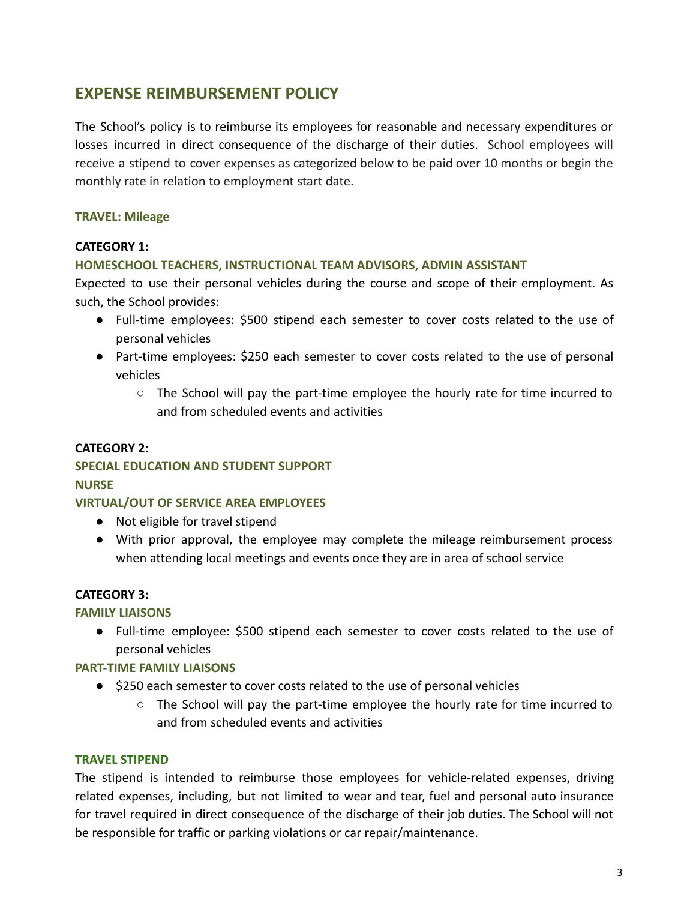# <span id="page-2-0"></span>**EXPENSE REIMBURSEMENT POLICY**

The School's policy is to reimburse its employees for reasonable and necessary expenditures or losses incurred in direct consequence of the discharge of their duties. School employees will receive a stipend to cover expenses as categorized below to be paid over 10 months or begin the monthly rate in relation to employment start date.

#### <span id="page-2-1"></span>**TRAVEL: Mileage**

#### **CATEGORY 1:**

#### **HOMESCHOOL TEACHERS, INSTRUCTIONAL TEAM ADVISORS, ADMIN ASSISTANT**

Expected to use their personal vehicles during the course and scope of their employment. As such, the School provides:

- Full-time employees: \$500 stipend each semester to cover costs related to the use of personal vehicles
- Part-time employees: \$250 each semester to cover costs related to the use of personal vehicles
	- The School will pay the part-time employee the hourly rate for time incurred to and from scheduled events and activities

#### **CATEGORY 2:**

## **SPECIAL EDUCATION AND STUDENT SUPPORT NURSE**

#### **VIRTUAL/OUT OF SERVICE AREA EMPLOYEES**

- Not eligible for travel stipend
- With prior approval, the employee may complete the mileage reimbursement process when attending local meetings and events once they are in area of school service

#### **CATEGORY 3:**

#### **FAMILY LIAISONS**

● Full-time employee: \$500 stipend each semester to cover costs related to the use of personal vehicles

#### **PART-TIME FAMILY LIAISONS**

- \$250 each semester to cover costs related to the use of personal vehicles
	- $\circ$  The School will pay the part-time employee the hourly rate for time incurred to and from scheduled events and activities

#### **TRAVEL STIPEND**

The stipend is intended to reimburse those employees for vehicle-related expenses, driving related expenses, including, but not limited to wear and tear, fuel and personal auto insurance for travel required in direct consequence of the discharge of their job duties. The School will not be responsible for traffic or parking violations or car repair/maintenance.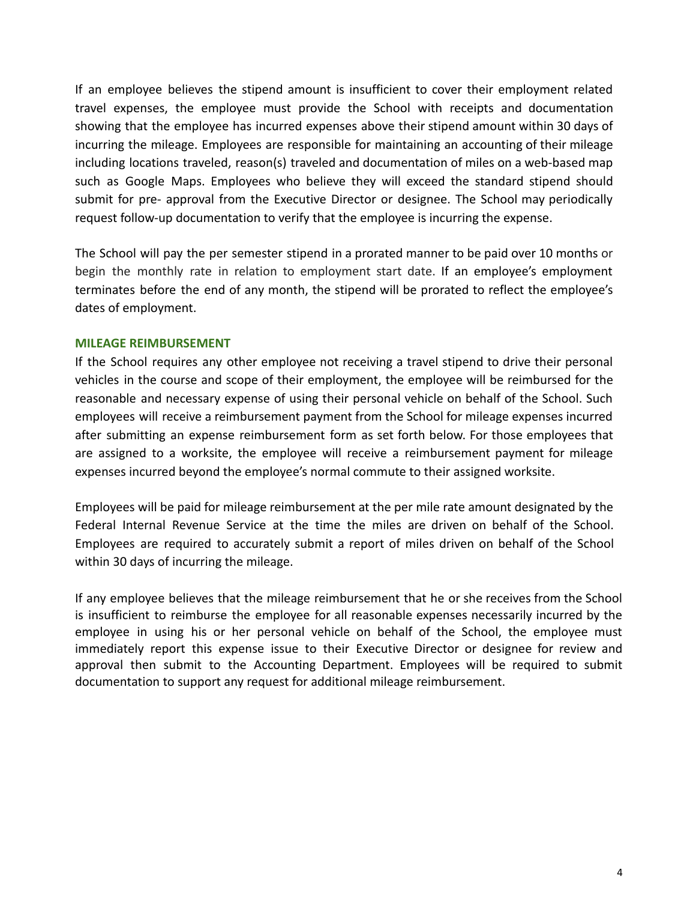If an employee believes the stipend amount is insufficient to cover their employment related travel expenses, the employee must provide the School with receipts and documentation showing that the employee has incurred expenses above their stipend amount within 30 days of incurring the mileage. Employees are responsible for maintaining an accounting of their mileage including locations traveled, reason(s) traveled and documentation of miles on a web-based map such as Google Maps. Employees who believe they will exceed the standard stipend should submit for pre- approval from the Executive Director or designee. The School may periodically request follow-up documentation to verify that the employee is incurring the expense.

The School will pay the per semester stipend in a prorated manner to be paid over 10 months or begin the monthly rate in relation to employment start date. If an employee's employment terminates before the end of any month, the stipend will be prorated to reflect the employee's dates of employment.

#### **MILEAGE REIMBURSEMENT**

If the School requires any other employee not receiving a travel stipend to drive their personal vehicles in the course and scope of their employment, the employee will be reimbursed for the reasonable and necessary expense of using their personal vehicle on behalf of the School. Such employees will receive a reimbursement payment from the School for mileage expenses incurred after submitting an expense reimbursement form as set forth below. For those employees that are assigned to a worksite, the employee will receive a reimbursement payment for mileage expenses incurred beyond the employee's normal commute to their assigned worksite.

Employees will be paid for mileage reimbursement at the per mile rate amount designated by the Federal Internal Revenue Service at the time the miles are driven on behalf of the School. Employees are required to accurately submit a report of miles driven on behalf of the School within 30 days of incurring the mileage.

If any employee believes that the mileage reimbursement that he or she receives from the School is insufficient to reimburse the employee for all reasonable expenses necessarily incurred by the employee in using his or her personal vehicle on behalf of the School, the employee must immediately report this expense issue to their Executive Director or designee for review and approval then submit to the Accounting Department. Employees will be required to submit documentation to support any request for additional mileage reimbursement.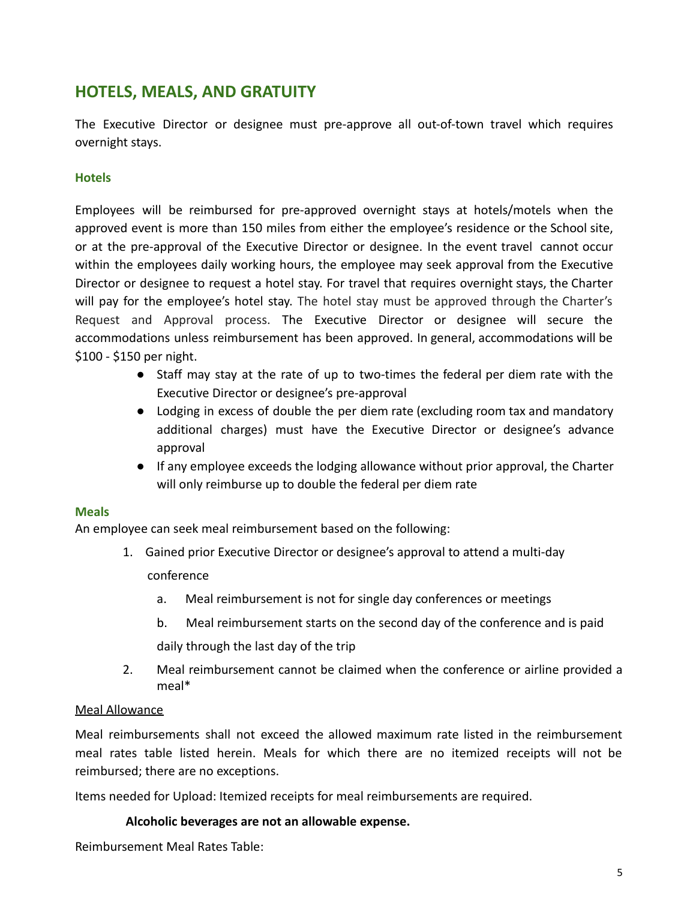# <span id="page-4-0"></span>**HOTELS, MEALS, AND GRATUITY**

The Executive Director or designee must pre-approve all out-of-town travel which requires overnight stays.

## <span id="page-4-1"></span>**Hotels**

Employees will be reimbursed for pre-approved overnight stays at hotels/motels when the approved event is more than 150 miles from either the employee's residence or the School site, or at the pre-approval of the Executive Director or designee. In the event travel cannot occur within the employees daily working hours, the employee may seek approval from the Executive Director or designee to request a hotel stay. For travel that requires overnight stays, the Charter will pay for the employee's hotel stay. The hotel stay must be approved through the Charter's Request and Approval process. The Executive Director or designee will secure the accommodations unless reimbursement has been approved. In general, accommodations will be \$100 - \$150 per night.

- Staff may stay at the rate of up to two-times the federal per diem rate with the Executive Director or designee's pre-approval
- Lodging in excess of double the per diem rate (excluding room tax and mandatory additional charges) must have the Executive Director or designee's advance approval
- If any employee exceeds the lodging allowance without prior approval, the Charter will only reimburse up to double the federal per diem rate

## <span id="page-4-2"></span>**Meals**

An employee can seek meal reimbursement based on the following:

- 1. Gained prior Executive Director or designee's approval to attend a multi-day conference
	- a. Meal reimbursement is not for single day conferences or meetings
	- b. Meal reimbursement starts on the second day of the conference and is paid daily through the last day of the trip
- 2. Meal reimbursement cannot be claimed when the conference or airline provided a meal\*

## Meal Allowance

Meal reimbursements shall not exceed the allowed maximum rate listed in the reimbursement meal rates table listed herein. Meals for which there are no itemized receipts will not be reimbursed; there are no exceptions.

Items needed for Upload: Itemized receipts for meal reimbursements are required.

## **Alcoholic beverages are not an allowable expense.**

Reimbursement Meal Rates Table: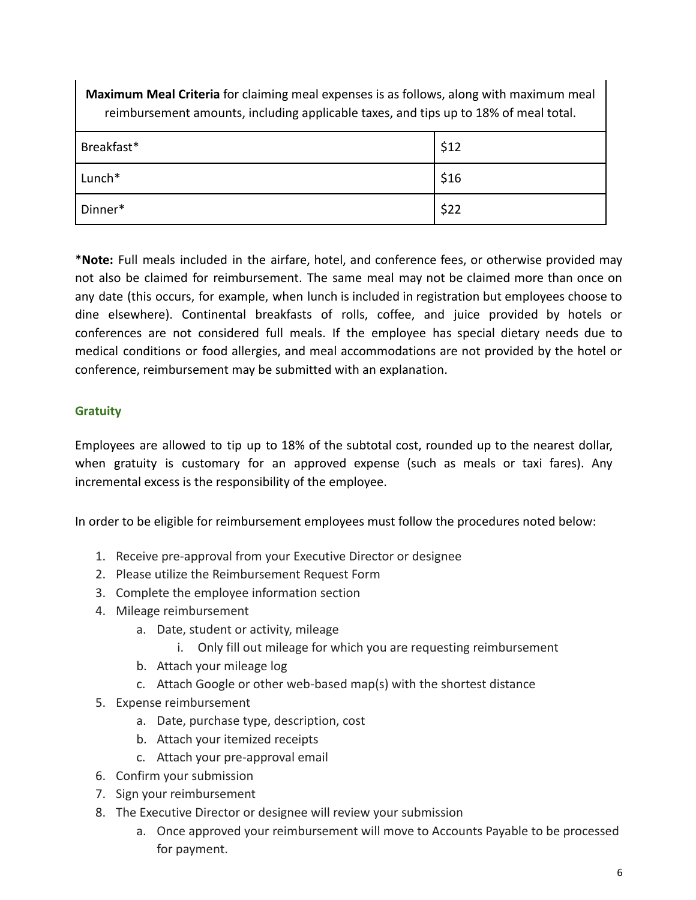**Maximum Meal Criteria** for claiming meal expenses is as follows, along with maximum meal reimbursement amounts, including applicable taxes, and tips up to 18% of meal total.

| Breakfast* | \$12 |
|------------|------|
| Lunch*     | \$16 |
| Dinner*    | \$22 |

\***Note:** Full meals included in the airfare, hotel, and conference fees, or otherwise provided may not also be claimed for reimbursement. The same meal may not be claimed more than once on any date (this occurs, for example, when lunch is included in registration but employees choose to dine elsewhere). Continental breakfasts of rolls, coffee, and juice provided by hotels or conferences are not considered full meals. If the employee has special dietary needs due to medical conditions or food allergies, and meal accommodations are not provided by the hotel or conference, reimbursement may be submitted with an explanation.

# <span id="page-5-0"></span>**Gratuity**

Employees are allowed to tip up to 18% of the subtotal cost, rounded up to the nearest dollar, when gratuity is customary for an approved expense (such as meals or taxi fares). Any incremental excess is the responsibility of the employee.

In order to be eligible for reimbursement employees must follow the procedures noted below:

- 1. Receive pre-approval from your Executive Director or designee
- 2. Please utilize the Reimbursement Request Form
- 3. Complete the employee information section
- 4. Mileage reimbursement
	- a. Date, student or activity, mileage
		- i. Only fill out mileage for which you are requesting reimbursement
	- b. Attach your mileage log
	- c. Attach Google or other web-based map(s) with the shortest distance
- 5. Expense reimbursement
	- a. Date, purchase type, description, cost
	- b. Attach your itemized receipts
	- c. Attach your pre-approval email
- 6. Confirm your submission
- 7. Sign your reimbursement
- 8. The Executive Director or designee will review your submission
	- a. Once approved your reimbursement will move to Accounts Payable to be processed for payment.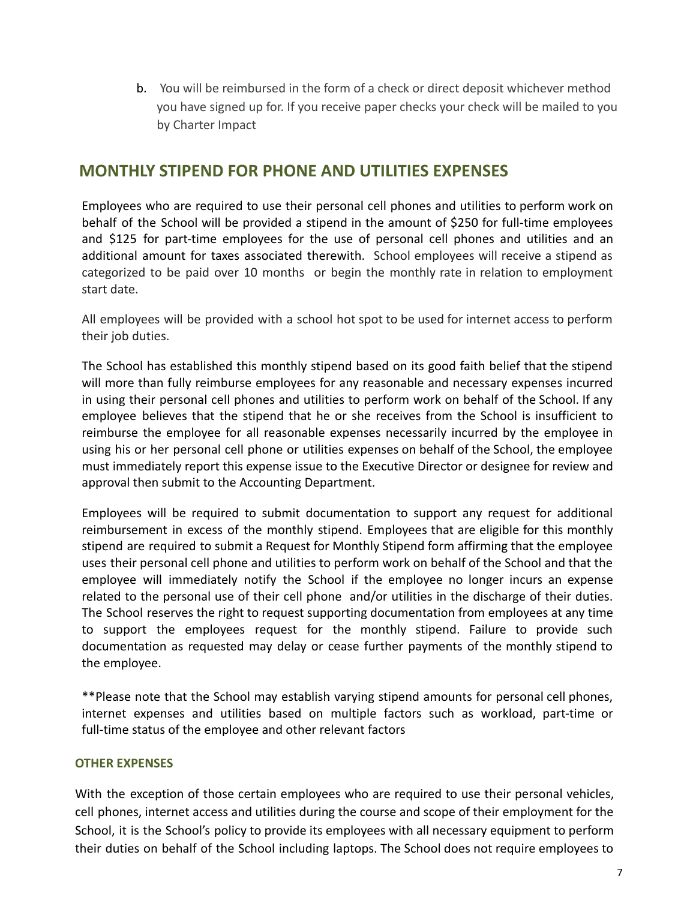b. You will be reimbursed in the form of a check or direct deposit whichever method you have signed up for. If you receive paper checks your check will be mailed to you by Charter Impact

# **MONTHLY STIPEND FOR PHONE AND UTILITIES EXPENSES**

Employees who are required to use their personal cell phones and utilities to perform work on behalf of the School will be provided a stipend in the amount of \$250 for full-time employees and \$125 for part-time employees for the use of personal cell phones and utilities and an additional amount for taxes associated therewith. School employees will receive a stipend as categorized to be paid over 10 months or begin the monthly rate in relation to employment start date.

All employees will be provided with a school hot spot to be used for internet access to perform their job duties.

The School has established this monthly stipend based on its good faith belief that the stipend will more than fully reimburse employees for any reasonable and necessary expenses incurred in using their personal cell phones and utilities to perform work on behalf of the School. If any employee believes that the stipend that he or she receives from the School is insufficient to reimburse the employee for all reasonable expenses necessarily incurred by the employee in using his or her personal cell phone or utilities expenses on behalf of the School, the employee must immediately report this expense issue to the Executive Director or designee for review and approval then submit to the Accounting Department.

Employees will be required to submit documentation to support any request for additional reimbursement in excess of the monthly stipend. Employees that are eligible for this monthly stipend are required to submit a Request for Monthly Stipend form affirming that the employee uses their personal cell phone and utilities to perform work on behalf of the School and that the employee will immediately notify the School if the employee no longer incurs an expense related to the personal use of their cell phone and/or utilities in the discharge of their duties. The School reserves the right to request supporting documentation from employees at any time to support the employees request for the monthly stipend. Failure to provide such documentation as requested may delay or cease further payments of the monthly stipend to the employee.

\*\*Please note that the School may establish varying stipend amounts for personal cell phones, internet expenses and utilities based on multiple factors such as workload, part-time or full-time status of the employee and other relevant factors

#### **OTHER EXPENSES**

With the exception of those certain employees who are required to use their personal vehicles, cell phones, internet access and utilities during the course and scope of their employment for the School, it is the School's policy to provide its employees with all necessary equipment to perform their duties on behalf of the School including laptops. The School does not require employees to